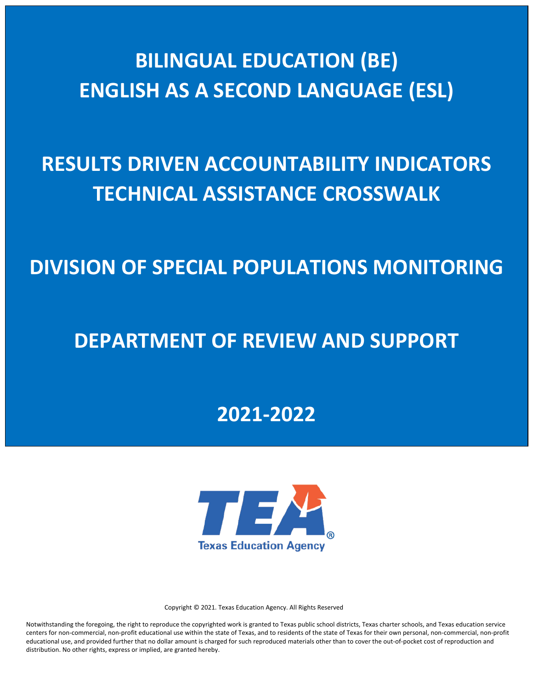# **BILINGUAL EDUCATION (BE) ENGLISH AS A SECOND LANGUAGE (ESL)**

# **RESULTS DRIVEN ACCOUNTABILITY INDICATORS TECHNICAL ASSISTANCE CROSSWALK**

## **DIVISION OF SPECIAL POPULATIONS MONITORING**

## **DEPARTMENT OF REVIEW AND SUPPORT**

### **2021-2022**



Copyright © 2021. Texas Education Agency. All Rights Reserved

distribution. No other rights, express or implied, are granted hereby. Notwithstanding the foregoing, the right to reproduce the copyrighted work is granted to Texas public school districts, Texas charter schools, and Texas education service centers for non-commercial, non-profit educational use within the state of Texas, and to residents of the state of Texas for their own personal, non-commercial, non-profit educational use, and provided further that no dollar amount is charged for such reproduced materials other than to cover the out-of-pocket cost of reproduction and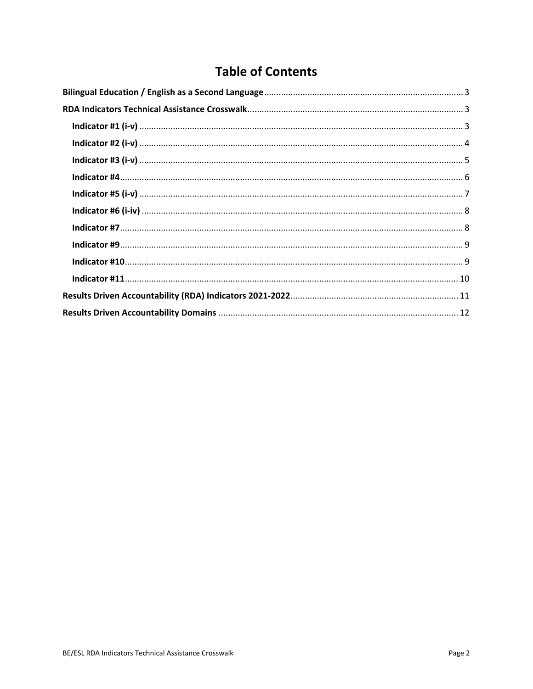### **Table of Contents**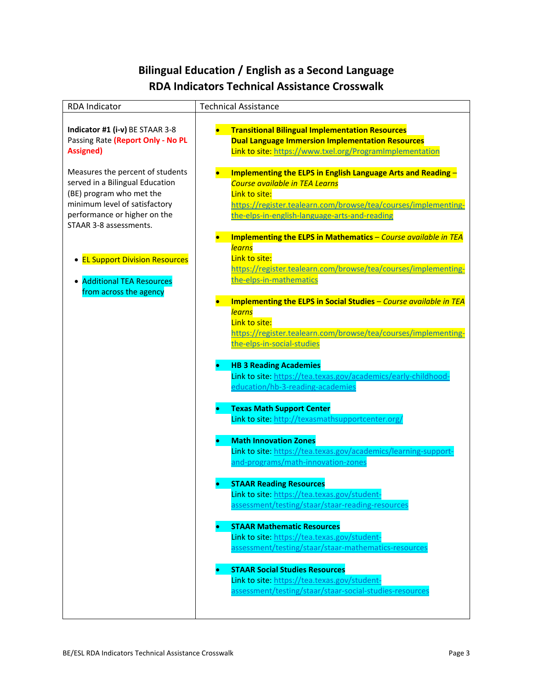### **Bilingual Education / English as a Second Language RDA Indicators Technical Assistance Crosswalk**

<span id="page-2-2"></span><span id="page-2-1"></span><span id="page-2-0"></span>

| <b>RDA Indicator</b>                                   | <b>Technical Assistance</b>                                                                           |
|--------------------------------------------------------|-------------------------------------------------------------------------------------------------------|
|                                                        |                                                                                                       |
| Indicator #1 (i-v) BE STAAR 3-8                        | <b>Transitional Bilingual Implementation Resources</b><br>$\bullet$                                   |
| Passing Rate (Report Only - No PL                      | <b>Dual Language Immersion Implementation Resources</b>                                               |
| <b>Assigned)</b>                                       | Link to site: https://www.txel.org/ProgramImplementation                                              |
|                                                        |                                                                                                       |
| Measures the percent of students                       | Implementing the ELPS in English Language Arts and Reading -                                          |
| served in a Bilingual Education                        | Course available in TEA Learns                                                                        |
| (BE) program who met the                               | Link to site:                                                                                         |
| minimum level of satisfactory                          | https://register.tealearn.com/browse/tea/courses/implementing-                                        |
| performance or higher on the<br>STAAR 3-8 assessments. | the-elps-in-english-language-arts-and-reading                                                         |
|                                                        |                                                                                                       |
|                                                        | Implementing the ELPS in Mathematics - Course available in TEA<br><u>learns</u>                       |
| • EL Support Division Resources                        | Link to site:                                                                                         |
|                                                        | https://register.tealearn.com/browse/tea/courses/implementing-                                        |
| <b>Additional TEA Resources</b><br>٠                   | the-elps-in-mathematics                                                                               |
| from across the agency                                 |                                                                                                       |
|                                                        | Implementing the ELPS in Social Studies - Course available in TEA                                     |
|                                                        | <b>learns</b>                                                                                         |
|                                                        | Link to site:                                                                                         |
|                                                        | https://register.tealearn.com/browse/tea/courses/implementing-                                        |
|                                                        | the-elps-in-social-studies                                                                            |
|                                                        | <b>HB 3 Reading Academies</b>                                                                         |
|                                                        | Link to site: https://tea.texas.gov/academics/early-childhood-                                        |
|                                                        | education/hb-3-reading-academies                                                                      |
|                                                        |                                                                                                       |
|                                                        | <b>Texas Math Support Center</b>                                                                      |
|                                                        | Link to site: http://texasmathsupportcenter.org/                                                      |
|                                                        |                                                                                                       |
|                                                        | <b>Math Innovation Zones</b>                                                                          |
|                                                        | Link to site: https://tea.texas.gov/academics/learning-support-<br>and-programs/math-innovation-zones |
|                                                        |                                                                                                       |
|                                                        | <b>STAAR Reading Resources</b>                                                                        |
|                                                        | Link to site: https://tea.texas.gov/student-                                                          |
|                                                        | assessment/testing/staar/staar-reading-resources                                                      |
|                                                        |                                                                                                       |
|                                                        | <b>STAAR Mathematic Resources</b>                                                                     |
|                                                        | Link to site: https://tea.texas.gov/student-                                                          |
|                                                        | assessment/testing/staar/staar-mathematics-resources                                                  |
|                                                        | <b>STAAR Social Studies Resources</b>                                                                 |
|                                                        | Link to site: https://tea.texas.gov/student-                                                          |
|                                                        | assessment/testing/staar/staar-social-studies-resources                                               |
|                                                        |                                                                                                       |
|                                                        |                                                                                                       |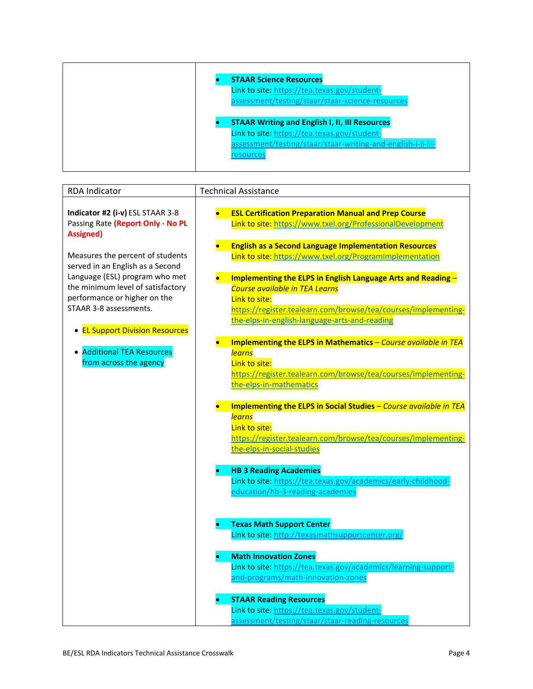| <b>STAAR Science Resources</b><br>Link to site: https://tea.texas.gov/student-<br>assessment/testing/staar/staar-science-resources                                                 |
|------------------------------------------------------------------------------------------------------------------------------------------------------------------------------------|
| <b>STAAR Writing and English I, II, III Resources</b><br>Link to site: https://tea.texas.gov/student-<br>assessment/testing/staar/staar-writing-and-english-i-ii-iii-<br>resources |

<span id="page-3-0"></span>

| <b>RDA Indicator</b>                                                 | <b>Technical Assistance</b>                                               |
|----------------------------------------------------------------------|---------------------------------------------------------------------------|
| Indicator #2 (i-v) ESL STAAR 3-8                                     | <b>ESL Certification Preparation Manual and Prep Course</b>               |
| Passing Rate (Report Only - No PL<br><b>Assigned)</b>                | Link to site: https://www.txel.org/ProfessionalDevelopment                |
|                                                                      | <b>English as a Second Language Implementation Resources</b><br>$\bullet$ |
| Measures the percent of students<br>served in an English as a Second | Link to site: https://www.txel.org/ProgramImplementation                  |
| Language (ESL) program who met                                       | Implementing the ELPS in English Language Arts and Reading -              |
| the minimum level of satisfactory                                    | <b>Course available in TEA Learns</b>                                     |
| performance or higher on the<br>STAAR 3-8 assessments.               | Link to site:                                                             |
|                                                                      | https://register.tealearn.com/browse/tea/courses/implementing-            |
| • <b>EL Support Division Resources</b>                               | the-elps-in-english-language-arts-and-reading                             |
|                                                                      | Implementing the ELPS in Mathematics - Course available in TEA            |
| <b>Additional TEA Resources</b>                                      | <b>learns</b>                                                             |
| from across the agency                                               | Link to site:                                                             |
|                                                                      | https://register.tealearn.com/browse/tea/courses/implementing-            |
|                                                                      | the-elps-in-mathematics                                                   |
|                                                                      | Implementing the ELPS in Social Studies - Course available in TEA         |
|                                                                      | <b>learns</b>                                                             |
|                                                                      | Link to site:                                                             |
|                                                                      | https://register.tealearn.com/browse/tea/courses/implementing-            |
|                                                                      | the-elps-in-social-studies                                                |
|                                                                      | <b>HB 3 Reading Academies</b>                                             |
|                                                                      | Link to site: https://tea.texas.gov/academics/early-childhood-            |
|                                                                      | education/hb-3-reading-academies                                          |
|                                                                      | <b>Texas Math Support Center</b>                                          |
|                                                                      | Link to site: http://texasmathsupportcenter.org/                          |
|                                                                      | <b>Math Innovation Zones</b>                                              |
|                                                                      | Link to site: https://tea.texas.gov/academics/learning-support            |
|                                                                      | and-programs/math-innovation-zones                                        |
|                                                                      | <b>STAAR Reading Resources</b>                                            |
|                                                                      | Link to site: https://tea.texas.gov/student-                              |
|                                                                      | assessment/testing/staar/staar-reading-resources                          |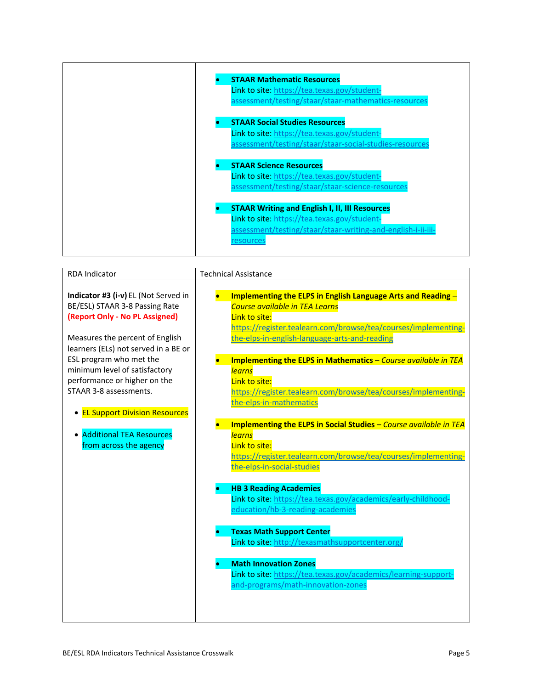| <b>STAAR Mathematic Resources</b><br>Link to site: https://tea.texas.gov/student-<br>assessment/testing/staar/staar-mathematics-resources                                                   |
|---------------------------------------------------------------------------------------------------------------------------------------------------------------------------------------------|
| <b>STAAR Social Studies Resources</b><br>Link to site: https://tea.texas.gov/student-<br>assessment/testing/staar/staar-social-studies-resources                                            |
| <b>STAAR Science Resources</b><br>Link to site: https://tea.texas.gov/student-<br>assessment/testing/staar/staar-science-resources<br><b>STAAR Writing and English I, II, III Resources</b> |
| Link to site: https://tea.texas.gov/student-<br>assessment/testing/staar/staar-writing-and-english-i-ii-iii-<br>resources                                                                   |

<span id="page-4-0"></span>

| <b>RDA Indicator</b>                                                                                                                                                                                                                                                                                                                                                                                             | <b>Technical Assistance</b>                                                                                                                                                                                                                                                                                                                                                                                                                                                                                                                                                                                                                       |
|------------------------------------------------------------------------------------------------------------------------------------------------------------------------------------------------------------------------------------------------------------------------------------------------------------------------------------------------------------------------------------------------------------------|---------------------------------------------------------------------------------------------------------------------------------------------------------------------------------------------------------------------------------------------------------------------------------------------------------------------------------------------------------------------------------------------------------------------------------------------------------------------------------------------------------------------------------------------------------------------------------------------------------------------------------------------------|
| <b>Indicator #3 (i-v)</b> EL (Not Served in<br>BE/ESL) STAAR 3-8 Passing Rate<br>(Report Only - No PL Assigned)<br>Measures the percent of English<br>learners (ELs) not served in a BE or<br>ESL program who met the<br>minimum level of satisfactory<br>performance or higher on the<br>STAAR 3-8 assessments.<br>• EL Support Division Resources<br><b>Additional TEA Resources</b><br>from across the agency | Implementing the ELPS in English Language Arts and Reading -<br><b>Course available in TEA Learns</b><br>Link to site:<br>https://register.tealearn.com/browse/tea/courses/implementing-<br>the-elps-in-english-language-arts-and-reading<br>Implementing the ELPS in Mathematics - Course available in TEA<br><b>learns</b><br>Link to site:<br>https://register.tealearn.com/browse/tea/courses/implementing-<br>the-elps-in-mathematics<br>Implementing the ELPS in Social Studies - Course available in TEA<br><b>learns</b><br>Link to site:<br>https://register.tealearn.com/browse/tea/courses/implementing-<br>the-elps-in-social-studies |
|                                                                                                                                                                                                                                                                                                                                                                                                                  | <b>HB 3 Reading Academies</b><br>Link to site: https://tea.texas.gov/academics/early-childhood<br>education/hb-3-reading-academies<br><b>Texas Math Support Center</b><br>Link to site: http://texasmathsupportcenter.org/<br><b>Math Innovation Zones</b><br>Link to site: https://tea.texas.gov/academics/learning-support<br>and-programs/math-innovation-zones                                                                                                                                                                                                                                                                                |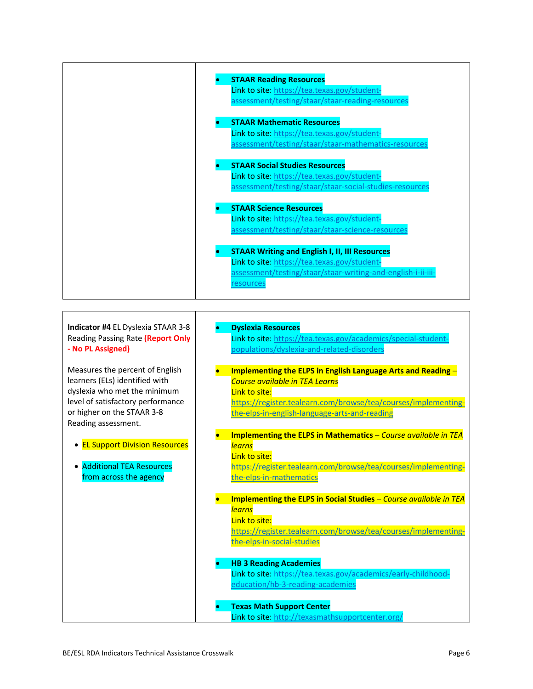| <b>STAAR Reading Resources</b><br>Link to site: https://tea.texas.gov/student-<br>assessment/testing/staar/staar-reading-resources                                                 |
|------------------------------------------------------------------------------------------------------------------------------------------------------------------------------------|
| <b>STAAR Mathematic Resources</b><br>Link to site: https://tea.texas.gov/student-<br>assessment/testing/staar/staar-mathematics-resources                                          |
| <b>STAAR Social Studies Resources</b><br>Link to site: https://tea.texas.gov/student-<br>assessment/testing/staar/staar-social-studies-resources                                   |
| <b>STAAR Science Resources</b><br>Link to site: https://tea.texas.gov/student-<br>assessment/testing/staar/staar-science-resources                                                 |
| <b>STAAR Writing and English I, II, III Resources</b><br>Link to site: https://tea.texas.gov/student-<br>assessment/testing/staar/staar-writing-and-english-i-ii-iii-<br>resources |

<span id="page-5-0"></span>**Indicator #4** EL Dyslexia STAAR 3-8 Reading Passing Rate **(Report Only - No PL Assigned)**

Measures the percent of English learners (ELs) identified with dyslexia who met the minimum level of satisfactory performance or higher on the STAAR 3-8 Reading assessment.

- EL Support Division Resources
- Additional TEA Resources from across the agency
- **Dyslexia Resources** Link to site[: https://tea.texas.gov/academics/special-student](https://tea.texas.gov/academics/special-student-populations/dyslexia-and-related-disorders)[populations/dyslexia-and-related-disorders](https://tea.texas.gov/academics/special-student-populations/dyslexia-and-related-disorders)
- **Implementing the ELPS in English Language Arts and Reading** *Course available in TEA Learns* Link to site: [https://register.tealearn.com/browse/tea/courses/implementing](https://register.tealearn.com/browse/tea/courses/implementing-the-elps-in-english-language-arts-and-reading)[the-elps-in-english-language-arts-and-reading](https://register.tealearn.com/browse/tea/courses/implementing-the-elps-in-english-language-arts-and-reading)
- **Implementing the ELPS in Mathematics** *Course available in TEA learns* Link to site: [https://register.tealearn.com/browse/tea/courses/implementing](https://register.tealearn.com/browse/tea/courses/implementing-the-elps-in-mathematics)[the-elps-in-mathematics](https://register.tealearn.com/browse/tea/courses/implementing-the-elps-in-mathematics)
- **Implementing the ELPS in Social Studies** *Course available in TEA learns* Link to site:

[https://register.tealearn.com/browse/tea/courses/implementing](https://register.tealearn.com/browse/tea/courses/implementing-the-elps-in-social-studies)[the-elps-in-social-studies](https://register.tealearn.com/browse/tea/courses/implementing-the-elps-in-social-studies)

- **HB 3 Reading Academies** Link to site[: https://tea.texas.gov/academics/early-childhood](https://tea.texas.gov/academics/early-childhood-education/hb-3-reading-academies)[education/hb-3-reading-academies](https://tea.texas.gov/academics/early-childhood-education/hb-3-reading-academies)
- **Texas Math Support Center** Link to site[: http://texasmathsupportcenter.org/](http://texasmathsupportcenter.org/)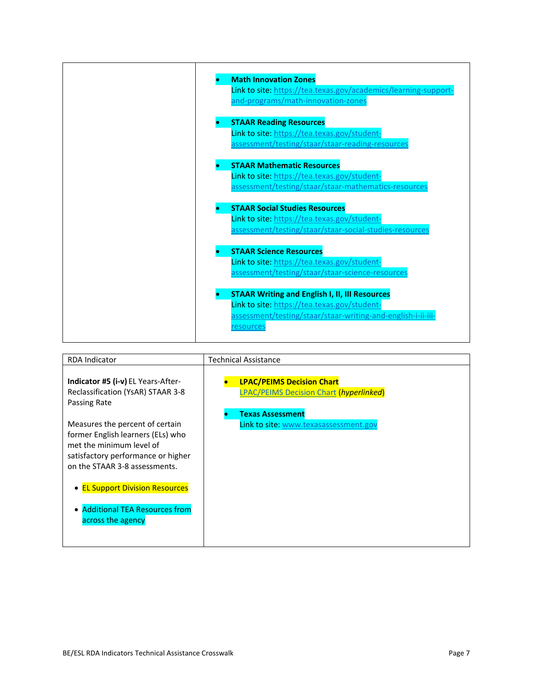| <b>Math Innovation Zones</b><br>Link to site: https://tea.texas.gov/academics/learning-support-<br>and-programs/math-innovation-zones                                                                                                                                                         |
|-----------------------------------------------------------------------------------------------------------------------------------------------------------------------------------------------------------------------------------------------------------------------------------------------|
| <b>STAAR Reading Resources</b><br>Link to site: https://tea.texas.gov/student-<br>assessment/testing/staar/staar-reading-resources                                                                                                                                                            |
| <b>STAAR Mathematic Resources</b><br>Link to site: https://tea.texas.gov/student-<br>assessment/testing/staar/staar-mathematics-resources<br><b>STAAR Social Studies Resources</b><br>Link to site: https://tea.texas.gov/student-<br>assessment/testing/staar/staar-social-studies-resources |
| <b>STAAR Science Resources</b><br>Link to site: https://tea.texas.gov/student-<br>assessment/testing/staar/staar-science-resources                                                                                                                                                            |
| <b>STAAR Writing and English I, II, III Resources</b><br>Link to site: https://tea.texas.gov/student-<br>assessment/testing/staar/staar-writing-and-english-i-ii-iii-<br>resources                                                                                                            |

<span id="page-6-0"></span>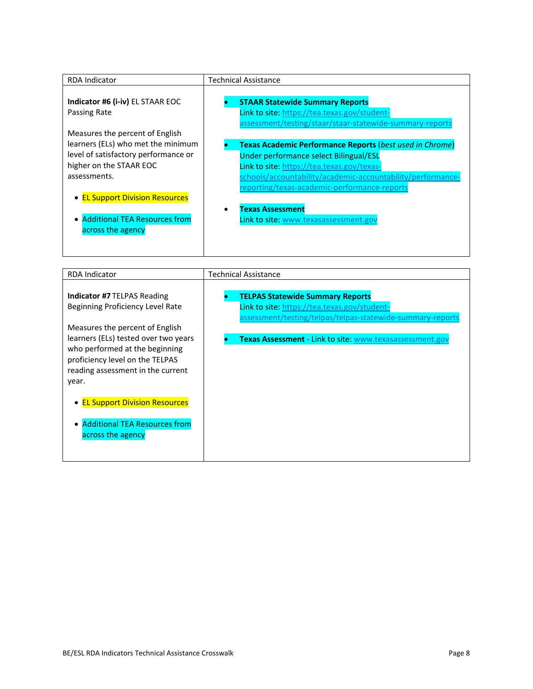<span id="page-7-0"></span>

| <b>RDA Indicator</b>                                                                                                  | Technical Assistance                                                                                                                                                                                                                                                   |
|-----------------------------------------------------------------------------------------------------------------------|------------------------------------------------------------------------------------------------------------------------------------------------------------------------------------------------------------------------------------------------------------------------|
| Indicator #6 (i-iv) EL STAAR EOC<br>Passing Rate<br>Measures the percent of English                                   | <b>STAAR Statewide Summary Reports</b><br>Link to site: https://tea.texas.gov/student-<br>assessment/testing/staar/staar-statewide-summary-reports                                                                                                                     |
| learners (ELs) who met the minimum<br>level of satisfactory performance or<br>higher on the STAAR EOC<br>assessments. | <b>Texas Academic Performance Reports (best used in Chrome)</b><br>Under performance select Bilingual/ESL<br>Link to site: https://tea.texas.gov/texas-<br>schools/accountability/academic-accountability/performance-<br>reporting/texas-academic-performance-reports |
| • EL Support Division Resources<br>• Additional TEA Resources from<br>across the agency                               | <b>Texas Assessment</b><br>Link to site: www.texasassessment.gov                                                                                                                                                                                                       |

<span id="page-7-1"></span>

| <b>RDA Indicator</b>                                                                                                                                    | <b>Technical Assistance</b>                                                                                                                           |
|---------------------------------------------------------------------------------------------------------------------------------------------------------|-------------------------------------------------------------------------------------------------------------------------------------------------------|
| <b>Indicator #7 TELPAS Reading</b><br>Beginning Proficiency Level Rate<br>Measures the percent of English                                               | <b>TELPAS Statewide Summary Reports</b><br>Link to site: https://tea.texas.gov/student-<br>assessment/testing/telpas/telpas-statewide-summary-reports |
| learners (ELs) tested over two years<br>who performed at the beginning<br>proficiency level on the TELPAS<br>reading assessment in the current<br>year. | <b>Texas Assessment - Link to site: www.texasassessment.gov</b>                                                                                       |
| • EL Support Division Resources<br>• Additional TEA Resources from<br>across the agency                                                                 |                                                                                                                                                       |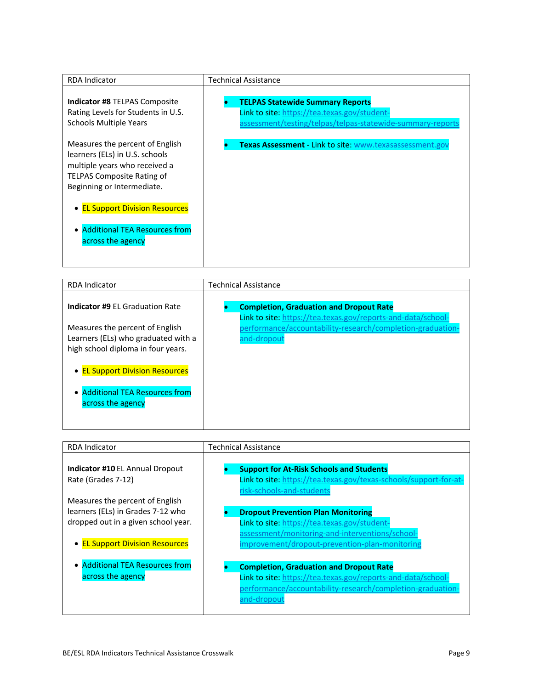| <b>RDA Indicator</b>                                                                                                                                                                                     | Technical Assistance                                                                                                                                  |
|----------------------------------------------------------------------------------------------------------------------------------------------------------------------------------------------------------|-------------------------------------------------------------------------------------------------------------------------------------------------------|
| <b>Indicator #8 TELPAS Composite</b><br>Rating Levels for Students in U.S.<br><b>Schools Multiple Years</b>                                                                                              | <b>TELPAS Statewide Summary Reports</b><br>Link to site: https://tea.texas.gov/student-<br>assessment/testing/telpas/telpas-statewide-summary-reports |
| Measures the percent of English<br>learners (ELs) in U.S. schools<br>multiple years who received a<br><b>TELPAS Composite Rating of</b><br>Beginning or Intermediate.<br>• EL Support Division Resources | <b>Texas Assessment - Link to site: www.texasassessment.gov</b>                                                                                       |
| • Additional TEA Resources from<br>across the agency                                                                                                                                                     |                                                                                                                                                       |

<span id="page-8-0"></span>

| <b>RDA Indicator</b>                                                                                                                                                                                                                                   | Technical Assistance                                                                                                                                                                        |
|--------------------------------------------------------------------------------------------------------------------------------------------------------------------------------------------------------------------------------------------------------|---------------------------------------------------------------------------------------------------------------------------------------------------------------------------------------------|
| <b>Indicator #9 EL Graduation Rate</b><br>Measures the percent of English<br>Learners (ELs) who graduated with a<br>high school diploma in four years.<br>• EL Support Division Resources<br><b>Additional TEA Resources from</b><br>across the agency | <b>Completion, Graduation and Dropout Rate</b><br>Link to site: https://tea.texas.gov/reports-and-data/school-<br>performance/accountability-research/completion-graduation-<br>and-dropout |

<span id="page-8-1"></span>

| <b>RDA Indicator</b>                                                                                                                                                                                           | <b>Technical Assistance</b>                                                                                                                                                                    |
|----------------------------------------------------------------------------------------------------------------------------------------------------------------------------------------------------------------|------------------------------------------------------------------------------------------------------------------------------------------------------------------------------------------------|
| <b>Indicator #10 EL Annual Dropout</b><br>Rate (Grades 7-12)<br>Measures the percent of English<br>learners (ELs) in Grades 7-12 who<br>dropped out in a given school year.<br>• EL Support Division Resources | <b>Support for At-Risk Schools and Students</b><br>Link to site: https://tea.texas.gov/texas-schools/support-for-at-<br>risk-schools-and-students                                              |
|                                                                                                                                                                                                                | <b>Dropout Prevention Plan Monitoring</b><br>Link to site: https://tea.texas.gov/student-<br>assessment/monitoring-and-interventions/school-<br>improvement/dropout-prevention-plan-monitoring |
| • Additional TEA Resources from<br>across the agency                                                                                                                                                           | <b>Completion, Graduation and Dropout Rate</b><br>Link to site: https://tea.texas.gov/reports-and-data/school-<br>performance/accountability-research/completion-graduation-<br>and-dropout    |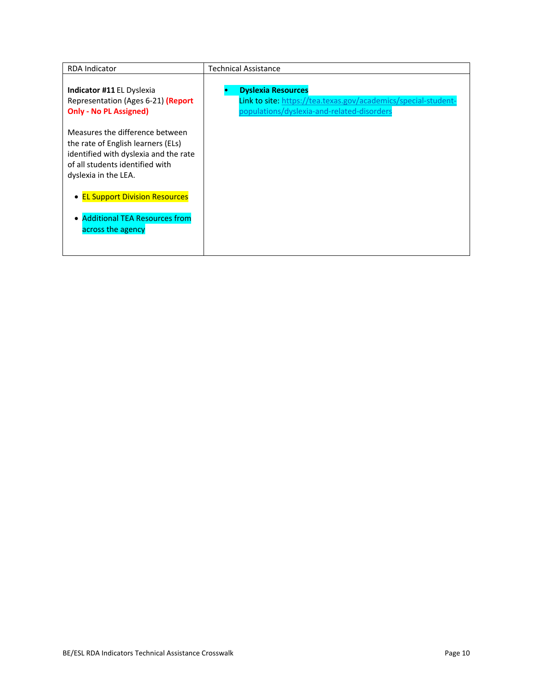<span id="page-9-0"></span>

| <b>RDA Indicator</b>                                                                                                                                                      | <b>Technical Assistance</b>                                                                                                               |
|---------------------------------------------------------------------------------------------------------------------------------------------------------------------------|-------------------------------------------------------------------------------------------------------------------------------------------|
| <b>Indicator #11 EL Dyslexia</b><br>Representation (Ages 6-21) (Report<br><b>Only - No PL Assigned)</b>                                                                   | <b>Dyslexia Resources</b><br>Link to site: https://tea.texas.gov/academics/special-student-<br>populations/dyslexia-and-related-disorders |
| Measures the difference between<br>the rate of English learners (ELs)<br>identified with dyslexia and the rate<br>of all students identified with<br>dyslexia in the LEA. |                                                                                                                                           |
| • EL Support Division Resources<br>• Additional TEA Resources from<br>across the agency                                                                                   |                                                                                                                                           |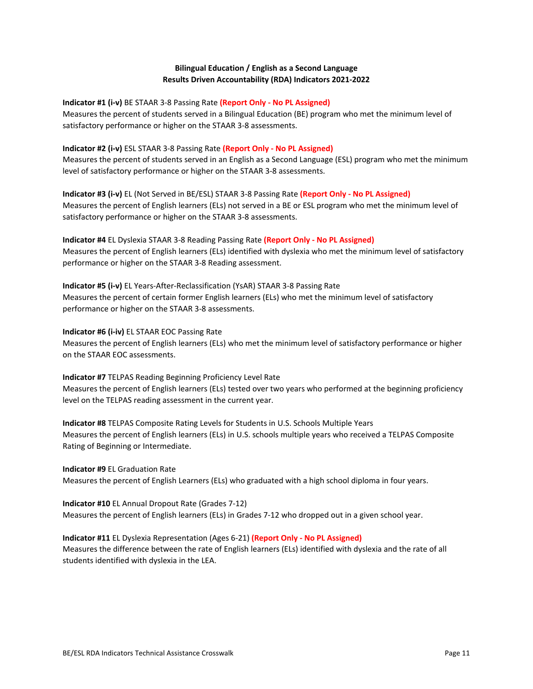#### **Bilingual Education / English as a Second Language Results Driven Accountability (RDA) Indicators 2021-2022**

<span id="page-10-0"></span>**Indicator #1 (i-v)** BE STAAR 3-8 Passing Rate **(Report Only - No PL Assigned)** Measures the percent of students served in a Bilingual Education (BE) program who met the minimum level of satisfactory performance or higher on the STAAR 3-8 assessments.

#### **Indicator #2 (i-v)** ESL STAAR 3-8 Passing Rate **(Report Only - No PL Assigned)**

Measures the percent of students served in an English as a Second Language (ESL) program who met the minimum level of satisfactory performance or higher on the STAAR 3-8 assessments.

**Indicator #3 (i-v)** EL (Not Served in BE/ESL) STAAR 3-8 Passing Rate **(Report Only - No PL Assigned)** Measures the percent of English learners (ELs) not served in a BE or ESL program who met the minimum level of satisfactory performance or higher on the STAAR 3-8 assessments.

**Indicator #4** EL Dyslexia STAAR 3-8 Reading Passing Rate **(Report Only - No PL Assigned)** Measures the percent of English learners (ELs) identified with dyslexia who met the minimum level of satisfactory performance or higher on the STAAR 3-8 Reading assessment.

**Indicator #5 (i-v)** EL Years-After-Reclassification (YsAR) STAAR 3-8 Passing Rate Measures the percent of certain former English learners (ELs) who met the minimum level of satisfactory performance or higher on the STAAR 3-8 assessments.

#### **Indicator #6 (i-iv)** EL STAAR EOC Passing Rate

Measures the percent of English learners (ELs) who met the minimum level of satisfactory performance or higher on the STAAR EOC assessments.

#### **Indicator #7** TELPAS Reading Beginning Proficiency Level Rate

Measures the percent of English learners (ELs) tested over two years who performed at the beginning proficiency level on the TELPAS reading assessment in the current year.

**Indicator #8** TELPAS Composite Rating Levels for Students in U.S. Schools Multiple Years Measures the percent of English learners (ELs) in U.S. schools multiple years who received a TELPAS Composite Rating of Beginning or Intermediate.

**Indicator #9** EL Graduation Rate Measures the percent of English Learners (ELs) who graduated with a high school diploma in four years.

**Indicator #10** EL Annual Dropout Rate (Grades 7-12) Measures the percent of English learners (ELs) in Grades 7-12 who dropped out in a given school year.

#### **Indicator #11** EL Dyslexia Representation (Ages 6-21) **(Report Only - No PL Assigned)**

Measures the difference between the rate of English learners (ELs) identified with dyslexia and the rate of all students identified with dyslexia in the LEA.